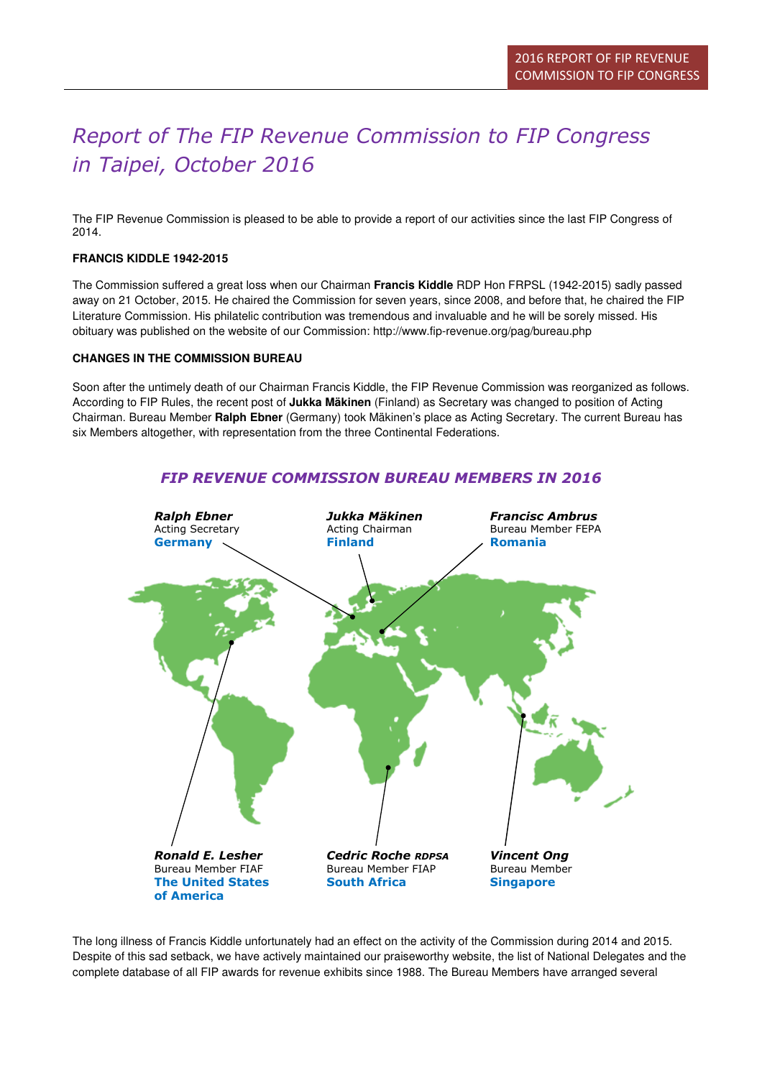# Report of The FIP Revenue Commission to FIP Congress in Taipei, October 2016

The FIP Revenue Commission is pleased to be able to provide a report of our activities since the last FIP Congress of 2014.

### **FRANCIS KIDDLE 1942-2015**

The Commission suffered a great loss when our Chairman **Francis Kiddle** RDP Hon FRPSL (1942-2015) sadly passed away on 21 October, 2015. He chaired the Commission for seven years, since 2008, and before that, he chaired the FIP Literature Commission. His philatelic contribution was tremendous and invaluable and he will be sorely missed. His obituary was published on the website of our Commission: http://www.fip-revenue.org/pag/bureau.php

### **CHANGES IN THE COMMISSION BUREAU**

Soon after the untimely death of our Chairman Francis Kiddle, the FIP Revenue Commission was reorganized as follows. According to FIP Rules, the recent post of **Jukka Mäkinen** (Finland) as Secretary was changed to position of Acting Chairman. Bureau Member **Ralph Ebner** (Germany) took Mäkinen's place as Acting Secretary. The current Bureau has six Members altogether, with representation from the three Continental Federations.



FIP REVENUE COMMISSION BUREAU MEMBERS IN 2016

The long illness of Francis Kiddle unfortunately had an effect on the activity of the Commission during 2014 and 2015. Despite of this sad setback, we have actively maintained our praiseworthy website, the list of National Delegates and the complete database of all FIP awards for revenue exhibits since 1988. The Bureau Members have arranged several